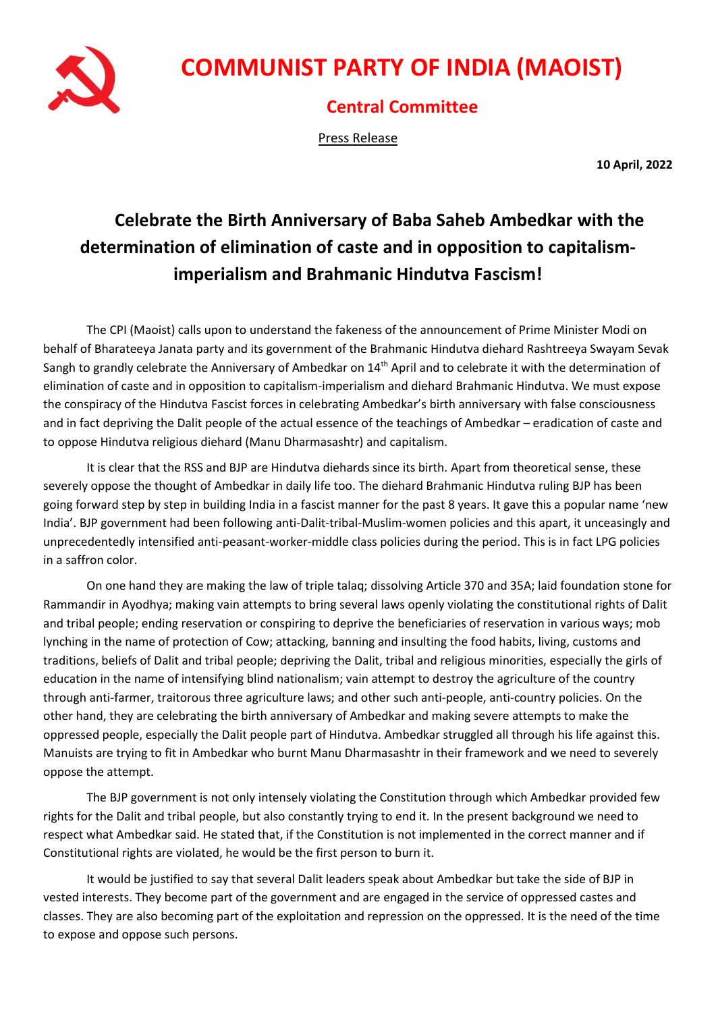

## **COMMUNIST PARTY OF INDIA (MAOIST)**

## **Central Committee**

Press Release

**10 April, 2022**

## **Celebrate the Birth Anniversary of Baba Saheb Ambedkar with the determination of elimination of caste and in opposition to capitalismimperialism and Brahmanic Hindutva Fascism!**

The CPI (Maoist) calls upon to understand the fakeness of the announcement of Prime Minister Modi on behalf of Bharateeya Janata party and its government of the Brahmanic Hindutva diehard Rashtreeya Swayam Sevak Sangh to grandly celebrate the Anniversary of Ambedkar on 14<sup>th</sup> April and to celebrate it with the determination of elimination of caste and in opposition to capitalism-imperialism and diehard Brahmanic Hindutva. We must expose the conspiracy of the Hindutva Fascist forces in celebrating Ambedkar's birth anniversary with false consciousness and in fact depriving the Dalit people of the actual essence of the teachings of Ambedkar – eradication of caste and to oppose Hindutva religious diehard (Manu Dharmasashtr) and capitalism.

It is clear that the RSS and BJP are Hindutva diehards since its birth. Apart from theoretical sense, these severely oppose the thought of Ambedkar in daily life too. The diehard Brahmanic Hindutva ruling BJP has been going forward step by step in building India in a fascist manner for the past 8 years. It gave this a popular name 'new India'. BJP government had been following anti-Dalit-tribal-Muslim-women policies and this apart, it unceasingly and unprecedentedly intensified anti-peasant-worker-middle class policies during the period. This is in fact LPG policies in a saffron color.

On one hand they are making the law of triple talaq; dissolving Article 370 and 35A; laid foundation stone for Rammandir in Ayodhya; making vain attempts to bring several laws openly violating the constitutional rights of Dalit and tribal people; ending reservation or conspiring to deprive the beneficiaries of reservation in various ways; mob lynching in the name of protection of Cow; attacking, banning and insulting the food habits, living, customs and traditions, beliefs of Dalit and tribal people; depriving the Dalit, tribal and religious minorities, especially the girls of education in the name of intensifying blind nationalism; vain attempt to destroy the agriculture of the country through anti-farmer, traitorous three agriculture laws; and other such anti-people, anti-country policies. On the other hand, they are celebrating the birth anniversary of Ambedkar and making severe attempts to make the oppressed people, especially the Dalit people part of Hindutva. Ambedkar struggled all through his life against this. Manuists are trying to fit in Ambedkar who burnt Manu Dharmasashtr in their framework and we need to severely oppose the attempt.

The BJP government is not only intensely violating the Constitution through which Ambedkar provided few rights for the Dalit and tribal people, but also constantly trying to end it. In the present background we need to respect what Ambedkar said. He stated that, if the Constitution is not implemented in the correct manner and if Constitutional rights are violated, he would be the first person to burn it.

It would be justified to say that several Dalit leaders speak about Ambedkar but take the side of BJP in vested interests. They become part of the government and are engaged in the service of oppressed castes and classes. They are also becoming part of the exploitation and repression on the oppressed. It is the need of the time to expose and oppose such persons.